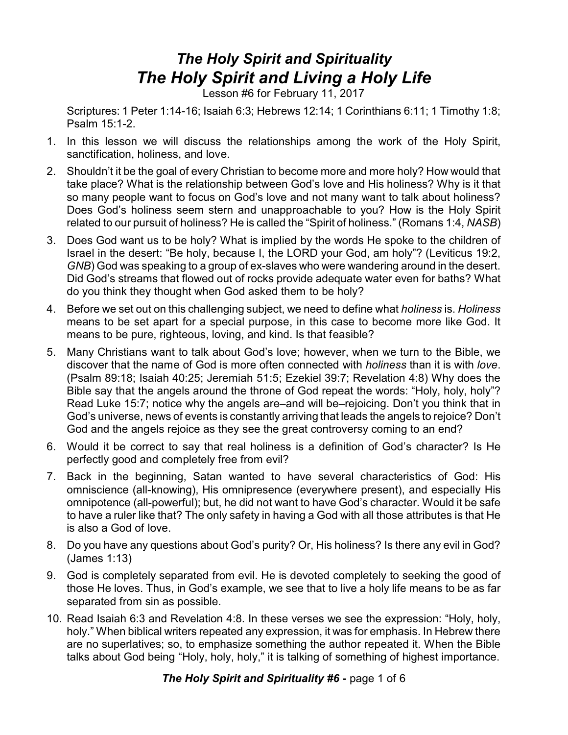## *The Holy Spirit and Spirituality The Holy Spirit and Living a Holy Life*

Lesson #6 for February 11, 2017

Scriptures: 1 Peter 1:14-16; Isaiah 6:3; Hebrews 12:14; 1 Corinthians 6:11; 1 Timothy 1:8; Psalm 15:1-2.

- 1. In this lesson we will discuss the relationships among the work of the Holy Spirit, sanctification, holiness, and love.
- 2. Shouldn't it be the goal of every Christian to become more and more holy? How would that take place? What is the relationship between God's love and His holiness? Why is it that so many people want to focus on God's love and not many want to talk about holiness? Does God's holiness seem stern and unapproachable to you? How is the Holy Spirit related to our pursuit of holiness? He is called the "Spirit of holiness." (Romans 1:4, *NASB*)
- 3. Does God want us to be holy? What is implied by the words He spoke to the children of Israel in the desert: "Be holy, because I, the LORD your God, am holy"? (Leviticus 19:2, *GNB*) God was speaking to a group of ex-slaves who were wandering around in the desert. Did God's streams that flowed out of rocks provide adequate water even for baths? What do you think they thought when God asked them to be holy?
- 4. Before we set out on this challenging subject, we need to define what *holiness* is. *Holiness* means to be set apart for a special purpose, in this case to become more like God. It means to be pure, righteous, loving, and kind. Is that feasible?
- 5. Many Christians want to talk about God's love; however, when we turn to the Bible, we discover that the name of God is more often connected with *holiness* than it is with *love*. (Psalm 89:18; Isaiah 40:25; Jeremiah 51:5; Ezekiel 39:7; Revelation 4:8) Why does the Bible say that the angels around the throne of God repeat the words: "Holy, holy, holy"? Read Luke 15:7; notice why the angels are–and will be–rejoicing. Don't you think that in God's universe, news of events is constantly arriving that leads the angels to rejoice? Don't God and the angels rejoice as they see the great controversy coming to an end?
- 6. Would it be correct to say that real holiness is a definition of God's character? Is He perfectly good and completely free from evil?
- 7. Back in the beginning, Satan wanted to have several characteristics of God: His omniscience (all-knowing), His omnipresence (everywhere present), and especially His omnipotence (all-powerful); but, he did not want to have God's character. Would it be safe to have a ruler like that? The only safety in having a God with all those attributes is that He is also a God of love.
- 8. Do you have any questions about God's purity? Or, His holiness? Is there any evil in God? (James 1:13)
- 9. God is completely separated from evil. He is devoted completely to seeking the good of those He loves. Thus, in God's example, we see that to live a holy life means to be as far separated from sin as possible.
- 10. Read Isaiah 6:3 and Revelation 4:8. In these verses we see the expression: "Holy, holy, holy." When biblical writers repeated any expression, it was for emphasis. In Hebrew there are no superlatives; so, to emphasize something the author repeated it. When the Bible talks about God being "Holy, holy, holy," it is talking of something of highest importance.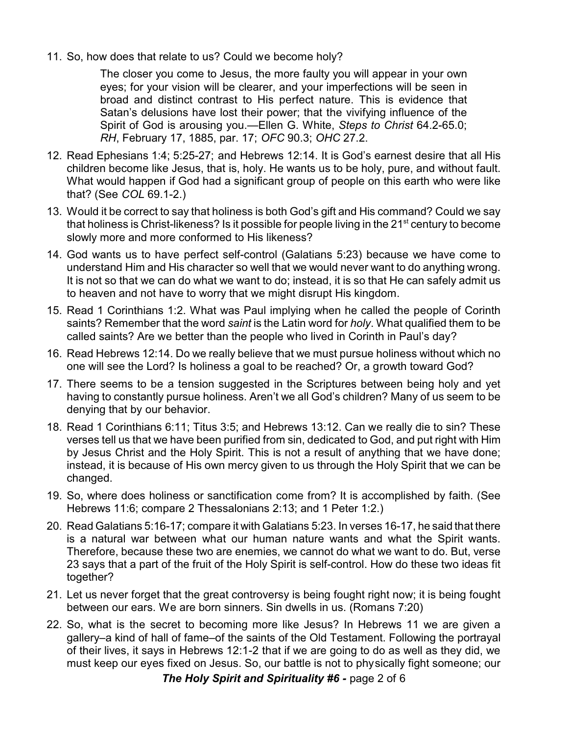11. So, how does that relate to us? Could we become holy?

The closer you come to Jesus, the more faulty you will appear in your own eyes; for your vision will be clearer, and your imperfections will be seen in broad and distinct contrast to His perfect nature. This is evidence that Satan's delusions have lost their power; that the vivifying influence of the Spirit of God is arousing you.—Ellen G. White, *Steps to Christ* 64.2-65.0; *RH*, February 17, 1885, par. 17; *OFC* 90.3; *OHC* 27.2.

- 12. Read Ephesians 1:4; 5:25-27; and Hebrews 12:14. It is God's earnest desire that all His children become like Jesus, that is, holy. He wants us to be holy, pure, and without fault. What would happen if God had a significant group of people on this earth who were like that? (See *COL* 69.1-2.)
- 13. Would it be correct to say that holiness is both God's gift and His command? Could we say that holiness is Christ-likeness? Is it possible for people living in the 21 $^{\rm st}$  century to become slowly more and more conformed to His likeness?
- 14. God wants us to have perfect self-control (Galatians 5:23) because we have come to understand Him and His character so well that we would never want to do anything wrong. It is not so that we can do what we want to do; instead, it is so that He can safely admit us to heaven and not have to worry that we might disrupt His kingdom.
- 15. Read 1 Corinthians 1:2. What was Paul implying when he called the people of Corinth saints? Remember that the word *saint* is the Latin word for *holy*. What qualified them to be called saints? Are we better than the people who lived in Corinth in Paul's day?
- 16. Read Hebrews 12:14. Do we really believe that we must pursue holiness without which no one will see the Lord? Is holiness a goal to be reached? Or, a growth toward God?
- 17. There seems to be a tension suggested in the Scriptures between being holy and yet having to constantly pursue holiness. Aren't we all God's children? Many of us seem to be denying that by our behavior.
- 18. Read 1 Corinthians 6:11; Titus 3:5; and Hebrews 13:12. Can we really die to sin? These verses tell us that we have been purified from sin, dedicated to God, and put right with Him by Jesus Christ and the Holy Spirit. This is not a result of anything that we have done; instead, it is because of His own mercy given to us through the Holy Spirit that we can be changed.
- 19. So, where does holiness or sanctification come from? It is accomplished by faith. (See Hebrews 11:6; compare 2 Thessalonians 2:13; and 1 Peter 1:2.)
- 20. Read Galatians 5:16-17; compare it with Galatians 5:23. In verses 16-17, he said that there is a natural war between what our human nature wants and what the Spirit wants. Therefore, because these two are enemies, we cannot do what we want to do. But, verse 23 says that a part of the fruit of the Holy Spirit is self-control. How do these two ideas fit together?
- 21. Let us never forget that the great controversy is being fought right now; it is being fought between our ears. We are born sinners. Sin dwells in us. (Romans 7:20)
- 22. So, what is the secret to becoming more like Jesus? In Hebrews 11 we are given a gallery–a kind of hall of fame–of the saints of the Old Testament. Following the portrayal of their lives, it says in Hebrews 12:1-2 that if we are going to do as well as they did, we must keep our eyes fixed on Jesus. So, our battle is not to physically fight someone; our

*The Holy Spirit and Spirituality #6 - page 2 of 6*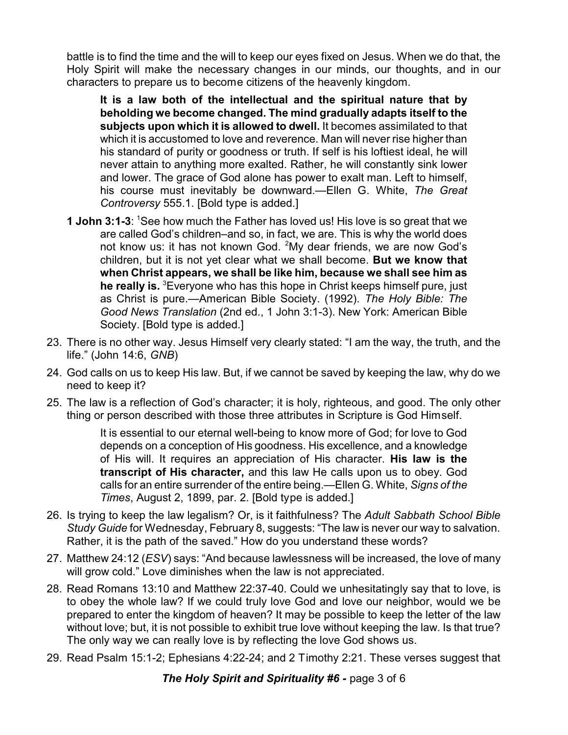battle is to find the time and the will to keep our eyes fixed on Jesus. When we do that, the Holy Spirit will make the necessary changes in our minds, our thoughts, and in our characters to prepare us to become citizens of the heavenly kingdom.

**It is a law both of the intellectual and the spiritual nature that by beholding we become changed. The mind gradually adapts itself to the subjects upon which it is allowed to dwell.** It becomes assimilated to that which it is accustomed to love and reverence. Man will never rise higher than his standard of purity or goodness or truth. If self is his loftiest ideal, he will never attain to anything more exalted. Rather, he will constantly sink lower and lower. The grace of God alone has power to exalt man. Left to himself, his course must inevitably be downward.—Ellen G. White, *The Great Controversy* 555.1. [Bold type is added.]

- **1 John 3:1-3**: <sup>1</sup>See how much the Father has loved us! His love is so great that we are called God's children–and so, in fact, we are. This is why the world does not know us: it has not known God. <sup>2</sup>My dear friends, we are now God's children, but it is not yet clear what we shall become. **But we know that when Christ appears, we shall be like him, because we shall see him as he really is.** <sup>3</sup>Everyone who has this hope in Christ keeps himself pure, just as Christ is pure.—American Bible Society. (1992). *The Holy Bible: The Good News Translation* (2nd ed., 1 John 3:1-3). New York: American Bible Society. [Bold type is added.]
- 23. There is no other way. Jesus Himself very clearly stated: "I am the way, the truth, and the life." (John 14:6, *GNB*)
- 24. God calls on us to keep His law. But, if we cannot be saved by keeping the law, why do we need to keep it?
- 25. The law is a reflection of God's character; it is holy, righteous, and good. The only other thing or person described with those three attributes in Scripture is God Himself.

It is essential to our eternal well-being to know more of God; for love to God depends on a conception of His goodness. His excellence, and a knowledge of His will. It requires an appreciation of His character. **His law is the transcript of His character,** and this law He calls upon us to obey. God calls for an entire surrender of the entire being.—Ellen G. White, *Signs of the Times*, August 2, 1899, par. 2. [Bold type is added.]

- 26. Is trying to keep the law legalism? Or, is it faithfulness? The *Adult Sabbath School Bible Study Guide* for Wednesday, February 8, suggests: "The law is never our way to salvation. Rather, it is the path of the saved." How do you understand these words?
- 27. Matthew 24:12 (*ESV*) says: "And because lawlessness will be increased, the love of many will grow cold." Love diminishes when the law is not appreciated.
- 28. Read Romans 13:10 and Matthew 22:37-40. Could we unhesitatingly say that to love, is to obey the whole law? If we could truly love God and love our neighbor, would we be prepared to enter the kingdom of heaven? It may be possible to keep the letter of the law without love; but, it is not possible to exhibit true love without keeping the law. Is that true? The only way we can really love is by reflecting the love God shows us.
- 29. Read Psalm 15:1-2; Ephesians 4:22-24; and 2 Timothy 2:21. These verses suggest that

**The Holy Spirit and Spirituality #6 - page 3 of 6**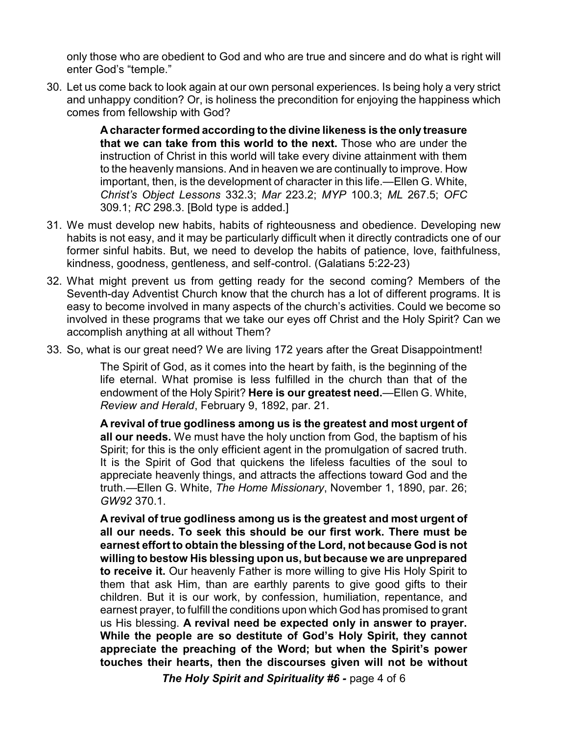only those who are obedient to God and who are true and sincere and do what is right will enter God's "temple."

30. Let us come back to look again at our own personal experiences. Is being holy a very strict and unhappy condition? Or, is holiness the precondition for enjoying the happiness which comes from fellowship with God?

> **A character formed according to the divine likeness is the only treasure that we can take from this world to the next.** Those who are under the instruction of Christ in this world will take every divine attainment with them to the heavenly mansions. And in heaven we are continually to improve. How important, then, is the development of character in this life.—Ellen G. White, *Christ's Object Lessons* 332.3; *Mar* 223.2; *MYP* 100.3; *ML* 267.5; *OFC* 309.1; *RC* 298.3. [Bold type is added.]

- 31. We must develop new habits, habits of righteousness and obedience. Developing new habits is not easy, and it may be particularly difficult when it directly contradicts one of our former sinful habits. But, we need to develop the habits of patience, love, faithfulness, kindness, goodness, gentleness, and self-control. (Galatians 5:22-23)
- 32. What might prevent us from getting ready for the second coming? Members of the Seventh-day Adventist Church know that the church has a lot of different programs. It is easy to become involved in many aspects of the church's activities. Could we become so involved in these programs that we take our eyes off Christ and the Holy Spirit? Can we accomplish anything at all without Them?
- 33. So, what is our great need? We are living 172 years after the Great Disappointment!

The Spirit of God, as it comes into the heart by faith, is the beginning of the life eternal. What promise is less fulfilled in the church than that of the endowment of the Holy Spirit? **Here is our greatest need.**—Ellen G. White, *Review and Herald*, February 9, 1892, par. 21.

**A revival of true godliness among us is the greatest and most urgent of all our needs.** We must have the holy unction from God, the baptism of his Spirit; for this is the only efficient agent in the promulgation of sacred truth. It is the Spirit of God that quickens the lifeless faculties of the soul to appreciate heavenly things, and attracts the affections toward God and the truth.—Ellen G. White, *The Home Missionary*, November 1, 1890, par. 26; *GW92* 370.1.

**A revival of true godliness among us is the greatest and most urgent of all our needs. To seek this should be our first work. There must be earnest effort to obtain the blessing of the Lord, not because God is not willing to bestow His blessing upon us, but because we are unprepared to receive it.** Our heavenly Father is more willing to give His Holy Spirit to them that ask Him, than are earthly parents to give good gifts to their children. But it is our work, by confession, humiliation, repentance, and earnest prayer, to fulfill the conditions upon which God has promised to grant us His blessing. **A revival need be expected only in answer to prayer. While the people are so destitute of God's Holy Spirit, they cannot appreciate the preaching of the Word; but when the Spirit's power touches their hearts, then the discourses given will not be without**

*The Holy Spirit and Spirituality #6 -* page 4 of 6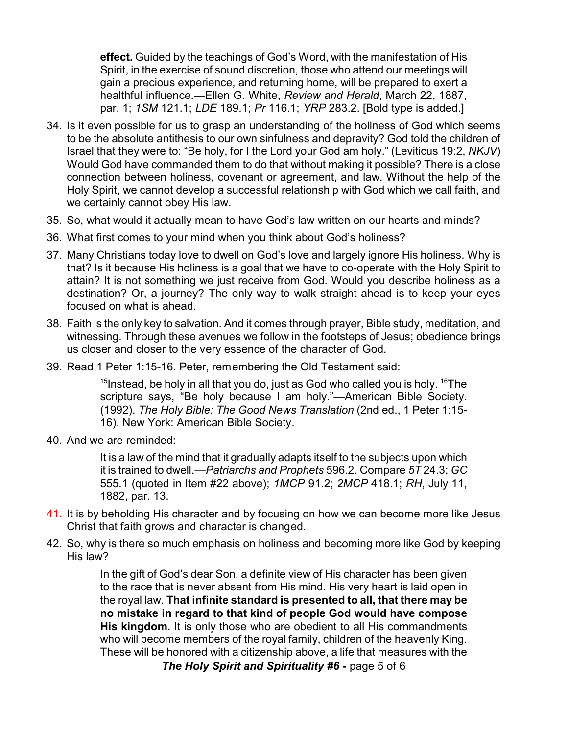**effect.** Guided by the teachings of God's Word, with the manifestation of His Spirit, in the exercise of sound discretion, those who attend our meetings will gain a precious experience, and returning home, will be prepared to exert a healthful influence.—Ellen G. White, *Review and Herald*, March 22, 1887, par. 1; *1SM* 121.1; *LDE* 189.1; *Pr* 116.1; *YRP* 283.2. [Bold type is added.]

- 34. Is it even possible for us to grasp an understanding of the holiness of God which seems to be the absolute antithesis to our own sinfulness and depravity? God told the children of Israel that they were to: "Be holy, for I the Lord your God am holy." (Leviticus 19:2, *NKJV*) Would God have commanded them to do that without making it possible? There is a close connection between holiness, covenant or agreement, and law. Without the help of the Holy Spirit, we cannot develop a successful relationship with God which we call faith, and we certainly cannot obey His law.
- 35. So, what would it actually mean to have God's law written on our hearts and minds?
- 36. What first comes to your mind when you think about God's holiness?
- 37. Many Christians today love to dwell on God's love and largely ignore His holiness. Why is that? Is it because His holiness is a goal that we have to co-operate with the Holy Spirit to attain? It is not something we just receive from God. Would you describe holiness as a destination? Or, a journey? The only way to walk straight ahead is to keep your eyes focused on what is ahead.
- 38. Faith is the only key to salvation. And it comes through prayer, Bible study, meditation, and witnessing. Through these avenues we follow in the footsteps of Jesus; obedience brings us closer and closer to the very essence of the character of God.
- 39. Read 1 Peter 1:15-16. Peter, remembering the Old Testament said:

 $^{15}$ Instead, be holy in all that you do, just as God who called you is holy.  $^{16}$ The scripture says, "Be holy because I am holy."—American Bible Society. (1992). *The Holy Bible: The Good News Translation* (2nd ed., 1 Peter 1:15- 16). New York: American Bible Society.

40. And we are reminded:

It is a law of the mind that it gradually adapts itself to the subjects upon which it is trained to dwell.—*Patriarchs and Prophets* 596.2. Compare *5T* 24.3; *GC* 555.1 (quoted in Item #22 above); *1MCP* 91.2; *2MCP* 418.1; *RH*, July 11, 1882, par. 13.

- 41. It is by beholding His character and by focusing on how we can become more like Jesus Christ that faith grows and character is changed.
- 42. So, why is there so much emphasis on holiness and becoming more like God by keeping His law?

In the gift of God's dear Son, a definite view of His character has been given to the race that is never absent from His mind. His very heart is laid open in the royal law. **That infinite standard is presented to all, that there may be no mistake in regard to that kind of people God would have compose His kingdom.** It is only those who are obedient to all His commandments who will become members of the royal family, children of the heavenly King. These will be honored with a citizenship above, a life that measures with the

*The Holy Spirit and Spirituality #6 -* page 5 of 6